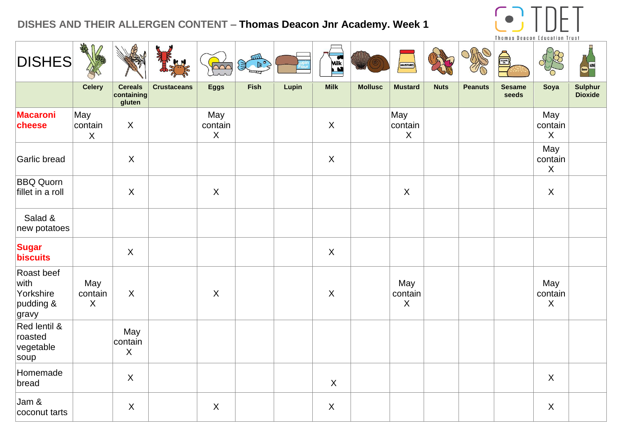## **DISHES AND THEIR ALLERGEN CONTENT – Thomas Deacon Jnr Academy. Week 1**



| <b>DISHES</b>                                         | AR                        |                                        |                    | $\sim$                         | 200         |       | Milk                      |                | MUSTARD                   |             |                | THUMAS DEAGUN EUUGATION TIUST<br><b>SESAME</b> |                           | <b>WINE</b>        |
|-------------------------------------------------------|---------------------------|----------------------------------------|--------------------|--------------------------------|-------------|-------|---------------------------|----------------|---------------------------|-------------|----------------|------------------------------------------------|---------------------------|--------------------|
|                                                       | Celery                    | <b>Cereals</b><br>containing<br>gluten | <b>Crustaceans</b> | <b>Eggs</b>                    | <b>Fish</b> | Lupin | <b>Milk</b>               | <b>Mollusc</b> | <b>Mustard</b>            | <b>Nuts</b> | <b>Peanuts</b> | <b>Sesame</b><br>seeds                         | Soya                      | Sulphur<br>Dioxide |
| <b>Macaroni</b><br>cheese                             | May<br>contain<br>X       | $\boldsymbol{\mathsf{X}}$              |                    | May<br>contain<br>$\mathsf{X}$ |             |       | $\mathsf{X}$              |                | May<br>contain<br>$\sf X$ |             |                |                                                | May<br>contain<br>$\sf X$ |                    |
| Garlic bread                                          |                           | $\sf X$                                |                    |                                |             |       | $\mathsf{X}$              |                |                           |             |                |                                                | May<br>contain<br>X       |                    |
| <b>BBQ Quorn</b><br>fillet in a roll                  |                           | $\mathsf{X}$                           |                    | $\sf X$                        |             |       |                           |                | $\mathsf{X}$              |             |                |                                                | $\sf X$                   |                    |
| Salad &<br>new potatoes                               |                           |                                        |                    |                                |             |       |                           |                |                           |             |                |                                                |                           |                    |
| <b>Sugar</b><br>biscuits                              |                           | $\boldsymbol{\mathsf{X}}$              |                    |                                |             |       | $\mathsf{X}$              |                |                           |             |                |                                                |                           |                    |
| Roast beef<br>with<br>Yorkshire<br>pudding &<br>gravy | May<br>contain<br>$\sf X$ | $\sf X$                                |                    | $\sf X$                        |             |       | $\boldsymbol{\mathsf{X}}$ |                | May<br>contain<br>$\sf X$ |             |                |                                                | May<br>contain<br>$\sf X$ |                    |
| Red lentil &<br>roasted<br>vegetable<br>soup          |                           | May<br>contain<br>$\mathsf{X}$         |                    |                                |             |       |                           |                |                           |             |                |                                                |                           |                    |
| Homemade<br>bread                                     |                           | $\boldsymbol{\mathsf{X}}$              |                    |                                |             |       | $\mathsf{X}$              |                |                           |             |                |                                                | $\boldsymbol{\mathsf{X}}$ |                    |
| Jam &<br>coconut tarts                                |                           | $\sf X$                                |                    | $\sf X$                        |             |       | $\boldsymbol{\mathsf{X}}$ |                |                           |             |                |                                                | $\sf X$                   |                    |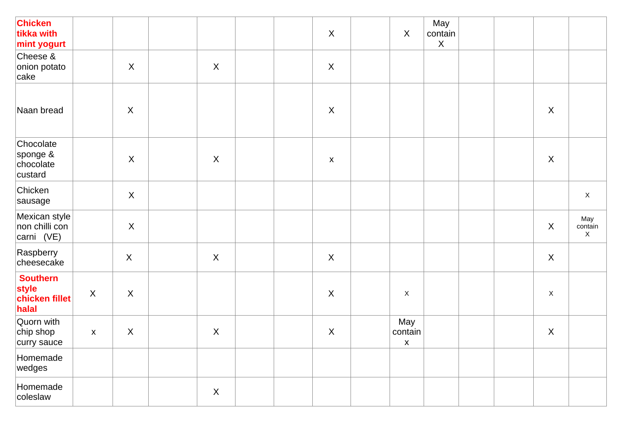| <b>Chicken</b><br>tikka with<br>mint yogurt         |              |                           |                           |  | $\sf X$                   | $\boldsymbol{X}$                     | May<br>contain<br>$\mathsf{X}$ |  |                           |                     |
|-----------------------------------------------------|--------------|---------------------------|---------------------------|--|---------------------------|--------------------------------------|--------------------------------|--|---------------------------|---------------------|
| Cheese &<br>onion potato<br>cake                    |              | $\boldsymbol{\mathsf{X}}$ | $\boldsymbol{\mathsf{X}}$ |  | $\boldsymbol{\mathsf{X}}$ |                                      |                                |  |                           |                     |
| Naan bread                                          |              | $\sf X$                   |                           |  | $\boldsymbol{\mathsf{X}}$ |                                      |                                |  | $\boldsymbol{\mathsf{X}}$ |                     |
| Chocolate<br>sponge &<br>chocolate<br>custard       |              | $\boldsymbol{\mathsf{X}}$ | $\boldsymbol{X}$          |  | $\pmb{\mathsf{X}}$        |                                      |                                |  | $\boldsymbol{\mathsf{X}}$ |                     |
| Chicken<br>sausage                                  |              | $\boldsymbol{\mathsf{X}}$ |                           |  |                           |                                      |                                |  |                           | $\mathsf X$         |
| Mexican style<br>non chilli con<br>carni (VE)       |              | $\boldsymbol{\mathsf{X}}$ |                           |  |                           |                                      |                                |  | $\boldsymbol{\mathsf{X}}$ | May<br>contain<br>X |
| Raspberry<br>cheesecake                             |              | $\boldsymbol{\mathsf{X}}$ | $\mathsf{X}$              |  | $\boldsymbol{X}$          |                                      |                                |  | $\boldsymbol{X}$          |                     |
| <b>Southern</b><br>style<br>chicken fillet<br>halal | $\mathsf{X}$ | $\mathsf X$               |                           |  | $\boldsymbol{\mathsf{X}}$ | $\mathsf X$                          |                                |  | $\mathsf X$               |                     |
| Quorn with<br>chip shop<br>curry sauce              | $\mathsf X$  | $\sf X$                   | $\mathsf X$               |  | $\boldsymbol{\mathsf{X}}$ | May<br>contain<br>$\pmb{\mathsf{X}}$ |                                |  | $\boldsymbol{\mathsf{X}}$ |                     |
| Homemade<br>wedges                                  |              |                           |                           |  |                           |                                      |                                |  |                           |                     |
| Homemade<br>coleslaw                                |              |                           | X                         |  |                           |                                      |                                |  |                           |                     |